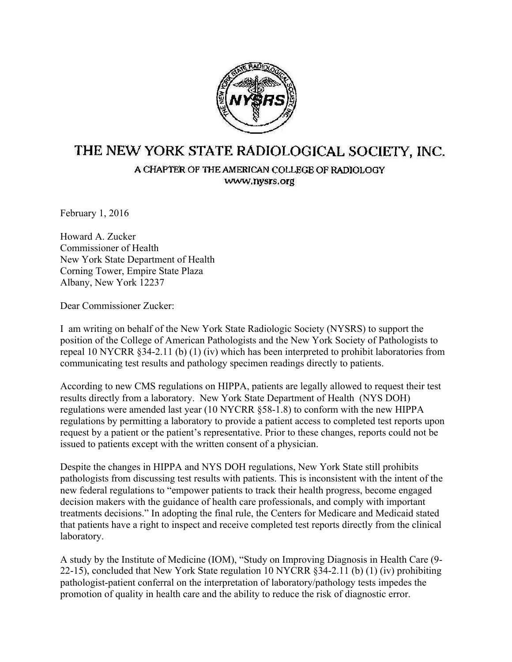

## THE NEW YORK STATE RADIOLOGICAL SOCIETY, INC.

A CHAPTER OF THE AMERICAN COLLEGE OF RADIOLOGY www.nysrs.org

February 1, 2016

Howard A. Zucker Commissioner of Health New York State Department of Health Corning Tower, Empire State Plaza Albany, New York 12237

Dear Commissioner Zucker:

I am writing on behalf of the New York State Radiologic Society (NYSRS) to support the position of the College of American Pathologists and the New York Society of Pathologists to repeal 10 NYCRR §34-2.11 (b) (1) (iv) which has been interpreted to prohibit laboratories from communicating test results and pathology specimen readings directly to patients.

According to new CMS regulations on HIPPA, patients are legally allowed to request their test results directly from a laboratory. New York State Department of Health (NYS DOH) regulations were amended last year (10 NYCRR §58-1.8) to conform with the new HIPPA regulations by permitting a laboratory to provide a patient access to completed test reports upon request by a patient or the patient's representative. Prior to these changes, reports could not be issued to patients except with the written consent of a physician.

Despite the changes in HIPPA and NYS DOH regulations, New York State still prohibits pathologists from discussing test results with patients. This is inconsistent with the intent of the new federal regulations to "empower patients to track their health progress, become engaged decision makers with the guidance of health care professionals, and comply with important treatments decisions." In adopting the final rule, the Centers for Medicare and Medicaid stated that patients have a right to inspect and receive completed test reports directly from the clinical laboratory.

A study by the Institute of Medicine (IOM), "Study on Improving Diagnosis in Health Care (9- 22-15), concluded that New York State regulation 10 NYCRR §34-2.11 (b) (1) (iv) prohibiting pathologist-patient conferral on the interpretation of laboratory/pathology tests impedes the promotion of quality in health care and the ability to reduce the risk of diagnostic error.